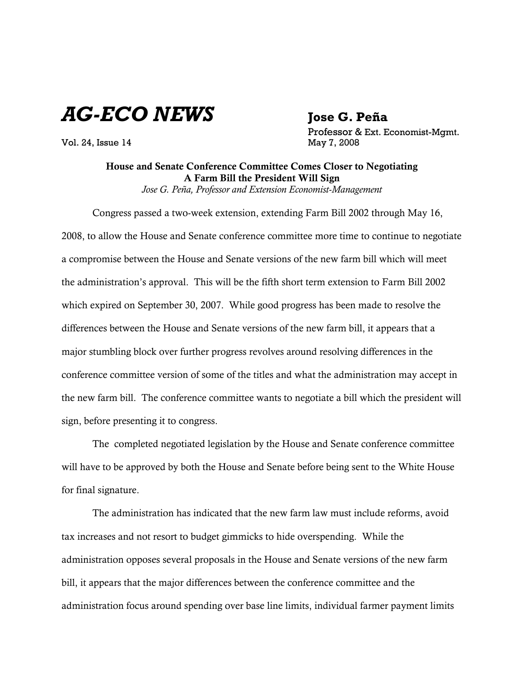*AG-ECO NEWS* **Jose G. Peña**

Vol. 24, Issue 14 May 7, 2008

Professor & Ext. Economist-Mgmt.

## House and Senate Conference Committee Comes Closer to Negotiating A Farm Bill the President Will Sign *Jose G. Peña, Professor and Extension Economist-Management*

Congress passed a two-week extension, extending Farm Bill 2002 through May 16, 2008, to allow the House and Senate conference committee more time to continue to negotiate a compromise between the House and Senate versions of the new farm bill which will meet the administration's approval. This will be the fifth short term extension to Farm Bill 2002 which expired on September 30, 2007. While good progress has been made to resolve the differences between the House and Senate versions of the new farm bill, it appears that a major stumbling block over further progress revolves around resolving differences in the conference committee version of some of the titles and what the administration may accept in the new farm bill. The conference committee wants to negotiate a bill which the president will sign, before presenting it to congress.

The completed negotiated legislation by the House and Senate conference committee will have to be approved by both the House and Senate before being sent to the White House for final signature.

The administration has indicated that the new farm law must include reforms, avoid tax increases and not resort to budget gimmicks to hide overspending. While the administration opposes several proposals in the House and Senate versions of the new farm bill, it appears that the major differences between the conference committee and the administration focus around spending over base line limits, individual farmer payment limits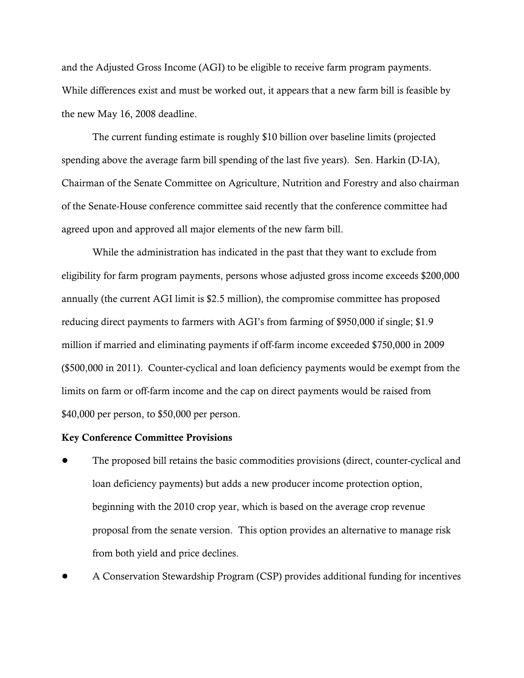and the Adjusted Gross Income (AGI) to be eligible to receive farm program payments. While differences exist and must be worked out, it appears that a new farm bill is feasible by the new May 16, 2008 deadline.

The current funding estimate is roughly \$10 billion over baseline limits (projected spending above the average farm bill spending of the last five years). Sen. Harkin (D-IA), Chairman of the Senate Committee on Agriculture, Nutrition and Forestry and also chairman of the Senate-House conference committee said recently that the conference committee had agreed upon and approved all major elements of the new farm bill.

While the administration has indicated in the past that they want to exclude from eligibility for farm program payments, persons whose adjusted gross income exceeds \$200,000 annually (the current AGI limit is \$2.5 million), the compromise committee has proposed reducing direct payments to farmers with AGI's from farming of \$950,000 if single; \$1.9 million if married and eliminating payments if off-farm income exceeded \$750,000 in 2009 (\$500,000 in 2011). Counter-cyclical and loan deficiency payments would be exempt from the limits on farm or off-farm income and the cap on direct payments would be raised from \$40,000 per person, to \$50,000 per person.

## Key Conference Committee Provisions

- ! The proposed bill retains the basic commodities provisions (direct, counter-cyclical and loan deficiency payments) but adds a new producer income protection option, beginning with the 2010 crop year, which is based on the average crop revenue proposal from the senate version. This option provides an alternative to manage risk from both yield and price declines.
- ! A Conservation Stewardship Program (CSP) provides additional funding for incentives